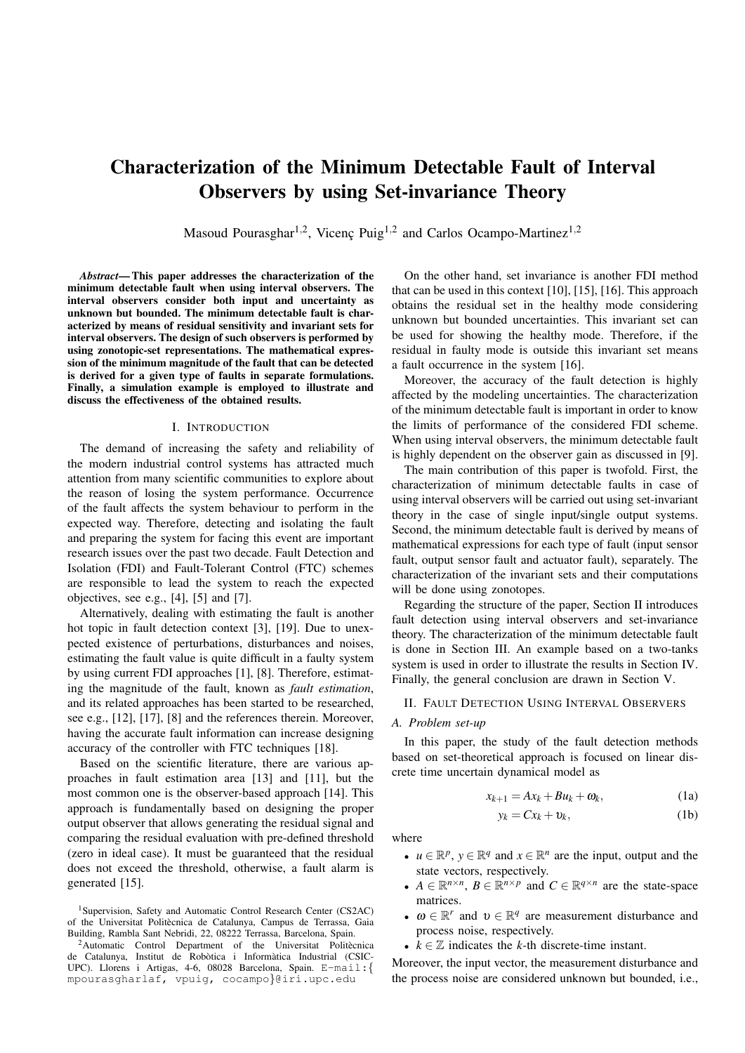# Characterization of the Minimum Detectable Fault of Interval Observers by using Set-invariance Theory

Masoud Pourasghar<sup>1,2</sup>, Vicenç Puig<sup>1,2</sup> and Carlos Ocampo-Martinez<sup>1,2</sup>

*Abstract*— This paper addresses the characterization of the minimum detectable fault when using interval observers. The interval observers consider both input and uncertainty as unknown but bounded. The minimum detectable fault is characterized by means of residual sensitivity and invariant sets for interval observers. The design of such observers is performed by using zonotopic-set representations. The mathematical expression of the minimum magnitude of the fault that can be detected is derived for a given type of faults in separate formulations. Finally, a simulation example is employed to illustrate and discuss the effectiveness of the obtained results.

#### I. INTRODUCTION

The demand of increasing the safety and reliability of the modern industrial control systems has attracted much attention from many scientific communities to explore about the reason of losing the system performance. Occurrence of the fault affects the system behaviour to perform in the expected way. Therefore, detecting and isolating the fault and preparing the system for facing this event are important research issues over the past two decade. Fault Detection and Isolation (FDI) and Fault-Tolerant Control (FTC) schemes are responsible to lead the system to reach the expected objectives, see e.g., [4], [5] and [7].

Alternatively, dealing with estimating the fault is another hot topic in fault detection context [3], [19]. Due to unexpected existence of perturbations, disturbances and noises, estimating the fault value is quite difficult in a faulty system by using current FDI approaches [1], [8]. Therefore, estimating the magnitude of the fault, known as *fault estimation*, and its related approaches has been started to be researched, see e.g., [12], [17], [8] and the references therein. Moreover, having the accurate fault information can increase designing accuracy of the controller with FTC techniques [18].

Based on the scientific literature, there are various approaches in fault estimation area [13] and [11], but the most common one is the observer-based approach [14]. This approach is fundamentally based on designing the proper output observer that allows generating the residual signal and comparing the residual evaluation with pre-defined threshold (zero in ideal case). It must be guaranteed that the residual does not exceed the threshold, otherwise, a fault alarm is generated [15].

On the other hand, set invariance is another FDI method that can be used in this context [10], [15], [16]. This approach obtains the residual set in the healthy mode considering unknown but bounded uncertainties. This invariant set can be used for showing the healthy mode. Therefore, if the residual in faulty mode is outside this invariant set means a fault occurrence in the system [16].

Moreover, the accuracy of the fault detection is highly affected by the modeling uncertainties. The characterization of the minimum detectable fault is important in order to know the limits of performance of the considered FDI scheme. When using interval observers, the minimum detectable fault is highly dependent on the observer gain as discussed in [9].

The main contribution of this paper is twofold. First, the characterization of minimum detectable faults in case of using interval observers will be carried out using set-invariant theory in the case of single input/single output systems. Second, the minimum detectable fault is derived by means of mathematical expressions for each type of fault (input sensor fault, output sensor fault and actuator fault), separately. The characterization of the invariant sets and their computations will be done using zonotopes.

Regarding the structure of the paper, Section II introduces fault detection using interval observers and set-invariance theory. The characterization of the minimum detectable fault is done in Section III. An example based on a two-tanks system is used in order to illustrate the results in Section IV. Finally, the general conclusion are drawn in Section V.

## II. FAULT DETECTION USING INTERVAL OBSERVERS

## *A. Problem set-up*

In this paper, the study of the fault detection methods based on set-theoretical approach is focused on linear discrete time uncertain dynamical model as

$$
x_{k+1} = Ax_k + Bu_k + \omega_k, \qquad (1a)
$$

$$
y_k = Cx_k + v_k, \tag{1b}
$$

where

- $u \in \mathbb{R}^p$ ,  $y \in \mathbb{R}^q$  and  $x \in \mathbb{R}^n$  are the input, output and the state vectors, respectively.
- $A \in \mathbb{R}^{n \times n}$ ,  $B \in \mathbb{R}^{n \times p}$  and  $C \in \mathbb{R}^{q \times n}$  are the state-space matrices.
- $\omega \in \mathbb{R}^r$  and  $\upsilon \in \mathbb{R}^q$  are measurement disturbance and process noise, respectively.
- $k \in \mathbb{Z}$  indicates the *k*-th discrete-time instant.

Moreover, the input vector, the measurement disturbance and the process noise are considered unknown but bounded, i.e.,

<sup>&</sup>lt;sup>1</sup>Supervision, Safety and Automatic Control Research Center (CS2AC) of the Universitat Politècnica de Catalunya, Campus de Terrassa, Gaia Building, Rambla Sant Nebridi, 22, 08222 Terrassa, Barcelona, Spain.

 $2$ Automatic Control Department of the Universitat Politècnica de Catalunya, Institut de Robòtica i Informàtica Industrial (CSIC-UPC). Llorens i Artigas, 4-6, 08028 Barcelona, Spain. E-mail:{ mpourasgharlaf, vpuig, cocampo}@iri.upc.edu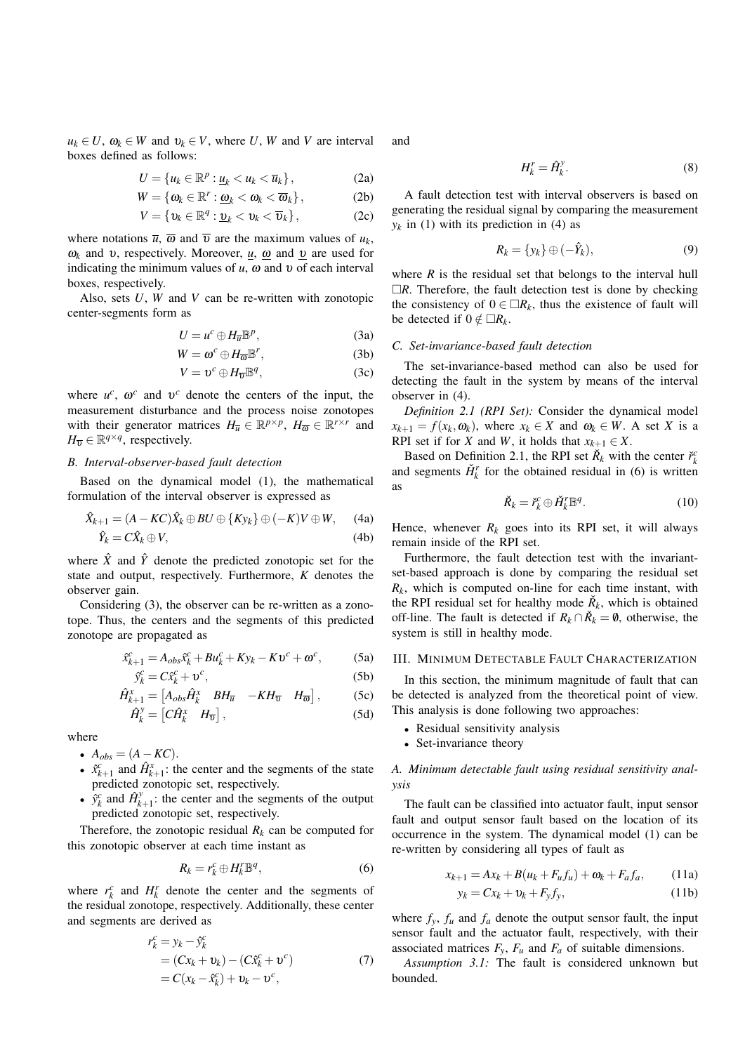$u_k \in U$ ,  $\omega_k \in W$  and  $v_k \in V$ , where *U*, *W* and *V* are interval boxes defined as follows:

$$
U = \{u_k \in \mathbb{R}^p : \underline{u}_k < u_k < \overline{u}_k\},\tag{2a}
$$

$$
W = \{\omega_k \in \mathbb{R}^r : \underline{\omega}_k < \omega_k < \overline{\omega}_k\},\tag{2b}
$$

$$
V = \{v_k \in \mathbb{R}^q : \underline{v}_k < v_k < \overline{v}_k\},\tag{2c}
$$

where notations  $\overline{u}$ ,  $\overline{\omega}$  and  $\overline{v}$  are the maximum values of  $u_k$ , ω<sub>k</sub> and *v*, respectively. Moreover,  $\mu$ , ω and *v* are used for indicating the minimum values of  $u$ ,  $\omega$  and  $v$  of each interval boxes, respectively.

Also, sets *U*, *W* and *V* can be re-written with zonotopic center-segments form as

$$
U = u^c \oplus H_{\overline{u}} \mathbb{B}^p, \tag{3a}
$$

$$
W = \omega^c \oplus H_{\overline{\omega}} \mathbb{B}^r, \tag{3b}
$$

$$
V = \upsilon^c \oplus H_{\overline{\upsilon}} \mathbb{B}^q, \tag{3c}
$$

where  $u^c$ ,  $\omega^c$  and  $v^c$  denote the centers of the input, the measurement disturbance and the process noise zonotopes with their generator matrices  $H_{\overline{u}} \in \mathbb{R}^{p \times p}$ ,  $H_{\overline{\omega}} \in \mathbb{R}^{r \times r}$  and  $H_{\overline{v}} \in \mathbb{R}^{q \times q}$ , respectively.

# *B. Interval-observer-based fault detection*

Based on the dynamical model (1), the mathematical formulation of the interval observer is expressed as

$$
\hat{X}_{k+1} = (A - KC)\hat{X}_k \oplus BU \oplus \{Ky_k\} \oplus (-K)V \oplus W, \quad (4a)
$$
  

$$
\hat{Y}_k = C\hat{X}_k \oplus V, \quad (4b)
$$

where  $\hat{X}$  and  $\hat{Y}$  denote the predicted zonotopic set for the state and output, respectively. Furthermore, *K* denotes the observer gain.

Considering (3), the observer can be re-written as a zonotope. Thus, the centers and the segments of this predicted zonotope are propagated as

$$
\hat{x}_{k+1}^c = A_{obs}\hat{x}_k^c + Bu_k^c + Ky_k - Kv^c + \omega^c,
$$
 (5a)

$$
\hat{y}_k^c = C\hat{x}_k^c + \upsilon^c,\tag{5b}
$$

$$
\hat{H}_{k+1}^x = \begin{bmatrix} A_{obs} \hat{H}_k^x & B H_{\overline{u}} & -KH_{\overline{v}} & H_{\overline{\omega}} \end{bmatrix},
$$
(5c)  

$$
\hat{H}_k^y = \begin{bmatrix} C \hat{H}_k^x & H_{\overline{u}} \end{bmatrix}
$$
(5d)

$$
\hat{H}_k^y = \begin{bmatrix} C\hat{H}_k^x & H_{\overline{v}} \end{bmatrix},\tag{5d}
$$

where

•  $A_{obs} = (A - KC)$ .

- $\hat{x}_{k+1}^c$  and  $\hat{H}_{k+1}^x$ : the center and the segments of the state predicted zonotopic set, respectively.
- $\hat{y}_k^c$  and  $\hat{H}_k^y$  $k+1$ : the center and the segments of the output predicted zonotopic set, respectively.

Therefore, the zonotopic residual  $R_k$  can be computed for this zonotopic observer at each time instant as

$$
R_k = r_k^c \oplus H_k^r \mathbb{B}^q,\tag{6}
$$

where  $r_k^c$  and  $H_k^r$  denote the center and the segments of the residual zonotope, respectively. Additionally, these center and segments are derived as

$$
r_k^c = y_k - \hat{y}_k^c
$$
  
=  $(Cx_k + v_k) - (C\hat{x}_k^c + v^c)$   
=  $C(x_k - \hat{x}_k^c) + v_k - v^c$ , (7)

and

$$
H_k^r = \hat{H}_k^y. \tag{8}
$$

A fault detection test with interval observers is based on generating the residual signal by comparing the measurement  $y_k$  in (1) with its prediction in (4) as

$$
R_k = \{y_k\} \oplus (-\hat{Y}_k),\tag{9}
$$

where  $R$  is the residual set that belongs to the interval hull  $\Box R$ . Therefore, the fault detection test is done by checking the consistency of  $0 \in \Box R_k$ , thus the existence of fault will be detected if  $0 \notin \Box R_k$ .

#### *C. Set-invariance-based fault detection*

The set-invariance-based method can also be used for detecting the fault in the system by means of the interval observer in (4).

*Definition 2.1 (RPI Set):* Consider the dynamical model  $x_{k+1} = f(x_k, \omega_k)$ , where  $x_k \in X$  and  $\omega_k \in W$ . A set *X* is a RPI set if for *X* and *W*, it holds that  $x_{k+1} \in X$ .

Based on Definition 2.1, the RPI set  $\check{R}_k$  with the center  $\check{r}_k^c$ and segments  $\check{H}_k^r$  for the obtained residual in (6) is written as

$$
\check{R}_k = \check{r}_k^c \oplus \check{H}_k^r \mathbb{B}^q. \tag{10}
$$

Hence, whenever  $R_k$  goes into its RPI set, it will always remain inside of the RPI set.

Furthermore, the fault detection test with the invariantset-based approach is done by comparing the residual set  $R_k$ , which is computed on-line for each time instant, with the RPI residual set for healthy mode  $\check{R}_k$ , which is obtained off-line. The fault is detected if  $R_k \cap \check{R}_k = \emptyset$ , otherwise, the system is still in healthy mode.

#### III. MINIMUM DETECTABLE FAULT CHARACTERIZATION

In this section, the minimum magnitude of fault that can be detected is analyzed from the theoretical point of view. This analysis is done following two approaches:

- Residual sensitivity analysis
- Set-invariance theory

# *A. Minimum detectable fault using residual sensitivity analysis*

The fault can be classified into actuator fault, input sensor fault and output sensor fault based on the location of its occurrence in the system. The dynamical model (1) can be re-written by considering all types of fault as

$$
x_{k+1} = Ax_k + B(u_k + F_u f_u) + \omega_k + F_a f_a, \qquad (11a)
$$

$$
y_k = Cx_k + v_k + F_y f_y, \tag{11b}
$$

where  $f_y$ ,  $f_u$  and  $f_a$  denote the output sensor fault, the input sensor fault and the actuator fault, respectively, with their associated matrices  $F_y$ ,  $F_u$  and  $F_a$  of suitable dimensions.

*Assumption 3.1:* The fault is considered unknown but bounded.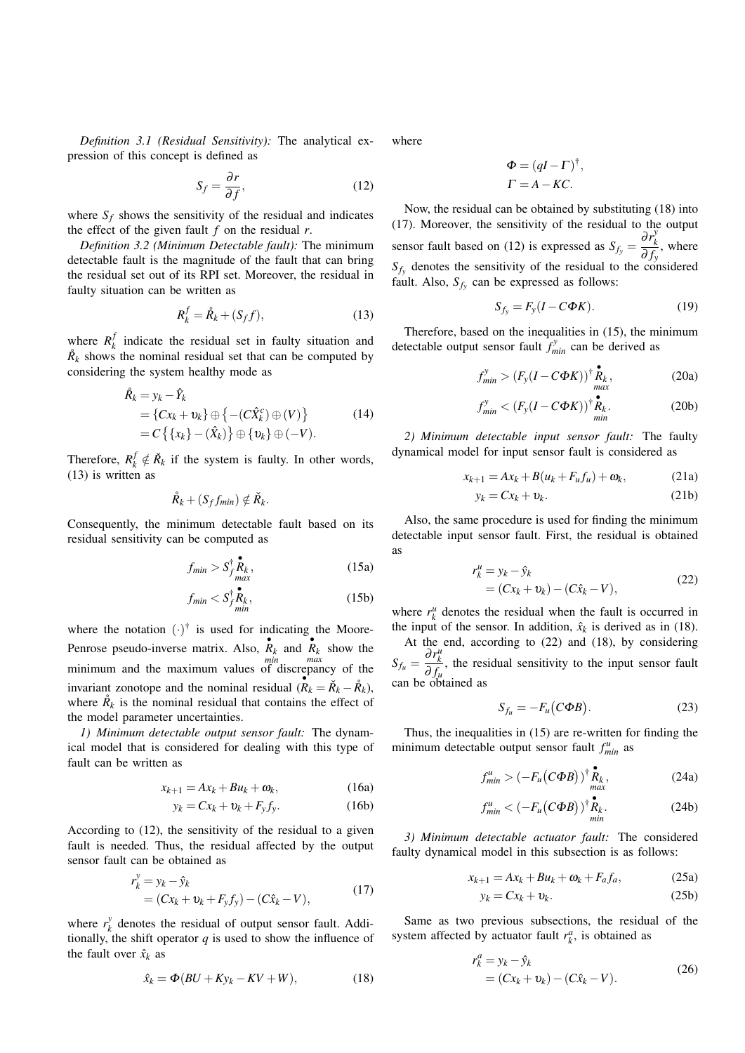*Definition 3.1 (Residual Sensitivity):* The analytical expression of this concept is defined as

$$
S_f = \frac{\partial r}{\partial f},\tag{12}
$$

where  $S_f$  shows the sensitivity of the residual and indicates the effect of the given fault  $f$  on the residual  $r$ .

*Definition 3.2 (Minimum Detectable fault):* The minimum detectable fault is the magnitude of the fault that can bring the residual set out of its RPI set. Moreover, the residual in faulty situation can be written as

$$
R_k^f = \mathring{R}_k + (S_f f),\tag{13}
$$

where  $R_k^f$  $\frac{d}{dx}$  indicate the residual set in faulty situation and  $\mathring{R}_k$  shows the nominal residual set that can be computed by considering the system healthy mode as

$$
\hat{R}_k = y_k - \hat{Y}_k
$$
\n
$$
= \{Cx_k + v_k\} \oplus \{-(C\hat{X}_k^c) \oplus (V)\} \qquad (14)
$$
\n
$$
= C \{ \{x_k\} - (\hat{X}_k) \} \oplus \{v_k\} \oplus (-V).
$$

Therefore,  $R_k^f \notin \check{R}_k$  if the system is faulty. In other words, (13) is written as

$$
\mathring{R}_k + (S_f f_{min}) \notin \mathring{R}_k.
$$

Consequently, the minimum detectable fault based on its residual sensitivity can be computed as

$$
f_{min} > S_{f}^{\dagger} \mathbf{R}_{k}^{\dagger}, \qquad (15a)
$$

$$
f_{min} < S_{f_{min}}^{\dagger} \mathbf{R}_k,\tag{15b}
$$

where the notation  $(\cdot)^\dagger$  is used for indicating the Moore-Penrose pseudo-inverse matrix. Also,  $\overrightarrow{R_k}$  and  $\overrightarrow{R_k}$  show the minimum and the maximum values of discrepancy of the invariant zonotope and the nominal residual  $(R_k = \check{R}_k - \mathring{R}_k)$ , where  $\mathring{R}_k$  is the nominal residual that contains the effect of the model parameter uncertainties.

*1) Minimum detectable output sensor fault:* The dynamical model that is considered for dealing with this type of fault can be written as

$$
x_{k+1} = Ax_k + Bu_k + \omega_k, \qquad (16a)
$$

$$
y_k = Cx_k + v_k + F_y f_y. \tag{16b}
$$

According to (12), the sensitivity of the residual to a given fault is needed. Thus, the residual affected by the output sensor fault can be obtained as

$$
r_k^y = y_k - \hat{y}_k
$$
  
=  $(Cx_k + v_k + F_y f_y) - (C\hat{x}_k - V),$  (17)

where  $r_k^y$  $\chi^y$  denotes the residual of output sensor fault. Additionally, the shift operator  $q$  is used to show the influence of the fault over  $\hat{x}_k$  as

$$
\hat{x}_k = \Phi(BU + Ky_k - KV + W),\tag{18}
$$

where

$$
\Phi = (qI - \Gamma)^{\dagger},
$$
  

$$
\Gamma = A - KC.
$$

Now, the residual can be obtained by substituting (18) into (17). Moreover, the sensitivity of the residual to the output sensor fault based on (12) is expressed as  $S_{f_y} = \frac{\partial r_k^y}{\partial f}$ *k*  $\frac{\partial f}{\partial f_y}$ , where  $S_f$  denotes the sensitivity of the residual to the considered fault. Also,  $S_{f_y}$  can be expressed as follows:

$$
S_{f_y} = F_y(I - C\Phi K). \tag{19}
$$

Therefore, based on the inequalities in (15), the minimum detectable output sensor fault  $f_{min}^y$  can be derived as

$$
f_{min}^{y} > (F_{y}(I - C\Phi K))^{\dagger} \mathbf{R}_{k}^{\bullet}, \qquad (20a)
$$

$$
f_{min}^y < (F_y(I - C\Phi K))^{\dagger} \mathbf{R}_k.
$$
 (20b)

*2) Minimum detectable input sensor fault:* The faulty dynamical model for input sensor fault is considered as

$$
x_{k+1} = Ax_k + B(u_k + F_u f_u) + \omega_k, \qquad (21a)
$$

$$
y_k = Cx_k + v_k. \tag{21b}
$$

Also, the same procedure is used for finding the minimum detectable input sensor fault. First, the residual is obtained as

$$
r_k^u = y_k - \hat{y}_k
$$
  
=  $(Cx_k + v_k) - (C\hat{x}_k - V),$  (22)

where  $r_k^u$  denotes the residual when the fault is occurred in the input of the sensor. In addition,  $\hat{x}_k$  is derived as in (18).

At the end, according to (22) and (18), by considering  $S_{f_u} = \frac{\partial r_k^u}{\partial f}$  $\frac{\partial^2 k}{\partial f_u}$ , the residual sensitivity to the input sensor fault can be obtained as

$$
S_{f_u} = -F_u(C\Phi B). \tag{23}
$$

Thus, the inequalities in (15) are re-written for finding the minimum detectable output sensor fault  $f_{min}^u$  as

$$
f_{min}^u > \left(-F_u\big(C\Phi B\big)\right)^{\dagger} \mathop{R_{k}}_{max}^{\bullet},\tag{24a}
$$

$$
f_{min}^u < \left(-F_u\big(C\Phi B\big)\right)^{\dagger} \mathbf{R}_k.
$$
 (24b)

*3) Minimum detectable actuator fault:* The considered faulty dynamical model in this subsection is as follows:

$$
x_{k+1} = Ax_k + Bu_k + \omega_k + F_a f_a, \qquad (25a)
$$

$$
y_k = Cx_k + v_k. \tag{25b}
$$

Same as two previous subsections, the residual of the system affected by actuator fault  $r_k^a$ , is obtained as

$$
r_k^a = y_k - \hat{y}_k
$$
  
=  $(Cx_k + v_k) - (C\hat{x}_k - V).$  (26)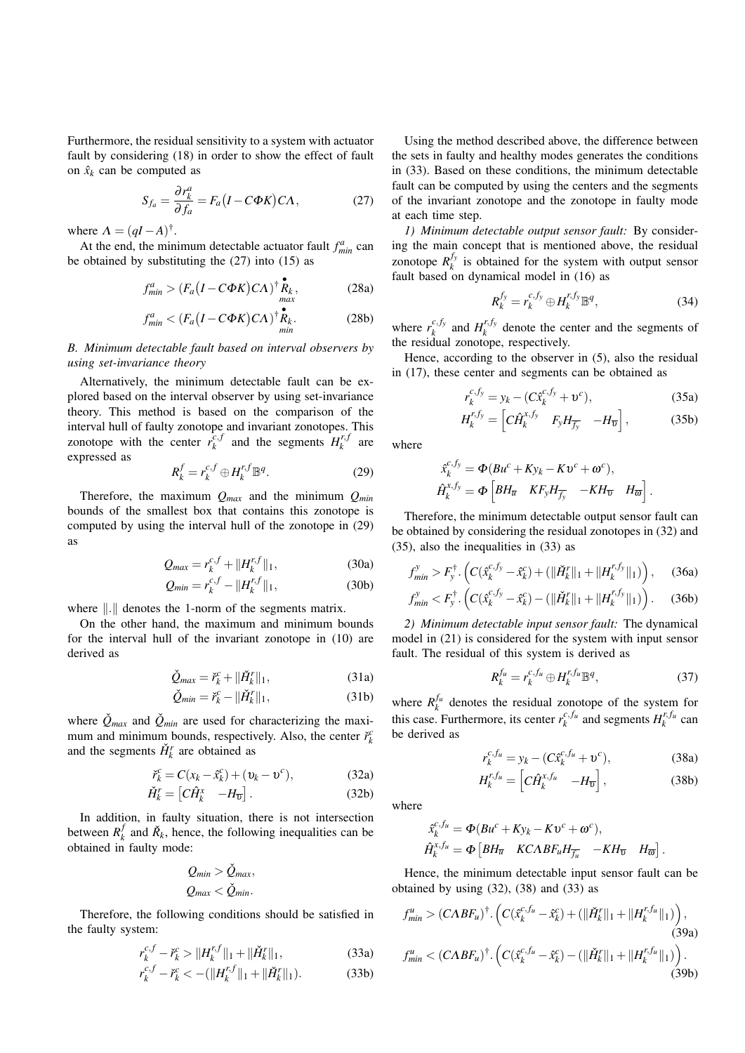Furthermore, the residual sensitivity to a system with actuator fault by considering (18) in order to show the effect of fault on  $\hat{x}_k$  can be computed as

$$
S_{f_a} = \frac{\partial r_k^a}{\partial f_a} = F_a (I - C\Phi K) C\Lambda, \qquad (27)
$$

where  $\Lambda = (qI - A)^{\dagger}$ .

At the end, the minimum detectable actuator fault  $f_{min}^a$  can be obtained by substituting the (27) into (15) as

$$
f_{min}^a > (F_a (I - C\Phi K) C\Lambda)^{\dagger} \mathop{R_{k}}_{max},
$$
 (28a)

$$
f_{min}^a < (F_a (I - C\Phi K) C\Lambda)^{\dagger} \mathbf{R}_k.
$$
 (28b)

*B. Minimum detectable fault based on interval observers by using set-invariance theory*

Alternatively, the minimum detectable fault can be explored based on the interval observer by using set-invariance theory. This method is based on the comparison of the interval hull of faulty zonotope and invariant zonotopes. This zonotope with the center  $\vec{r}_k^{c}$ ,  $\int_{k}^{c} H_{k}^{r} dx$  and the segments  $H_{k}^{r}$  $\int_k^{r,J}$  are expressed as

$$
R_k^f = r_k^{c,f} \oplus H_k^{r,f} \mathbb{B}^q. \tag{29}
$$

Therefore, the maximum *Qmax* and the minimum *Qmin* bounds of the smallest box that contains this zonotope is computed by using the interval hull of the zonotope in (29) as

$$
Q_{max} = r_k^{c,f} + ||H_k^{r,f}||_1,
$$
 (30a)

$$
Q_{min} = r_k^{c,f} - ||H_k^{r,f}||_1,
$$
 (30b)

where  $\| \cdot \|$  denotes the 1-norm of the segments matrix.

On the other hand, the maximum and minimum bounds for the interval hull of the invariant zonotope in (10) are derived as

$$
\check{Q}_{max} = \check{r}_k^c + ||\check{H}_k^r||_1,\tag{31a}
$$

$$
\check{Q}_{min} = \check{r}_k^c - ||\check{H}_k^r||_1,\tag{31b}
$$

where  $\check{Q}_{max}$  and  $\check{Q}_{min}$  are used for characterizing the maximum and minimum bounds, respectively. Also, the center  $\check{r}_k^c$ and the segments  $\check{H}_k^r$  are obtained as

$$
\breve{r}_k^c = C(x_k - \hat{x}_k^c) + (\upsilon_k - \upsilon^c), \tag{32a}
$$

$$
\check{H}_k^r = \begin{bmatrix} C\hat{H}_k^x & -H_{\overline{v}} \end{bmatrix} . \tag{32b}
$$

In addition, in faulty situation, there is not intersection between *R f*  $\hat{R}_k$  and  $\hat{R}_k$ , hence, the following inequalities can be obtained in faulty mode:

$$
Q_{min} > \check{Q}_{max},
$$
  

$$
Q_{max} < \check{Q}_{min}.
$$

Therefore, the following conditions should be satisfied in the faulty system:

$$
r_k^{c,f} - \check{r}_k^c > ||H_k^{r,f}||_1 + ||\check{H}_k^r||_1,
$$
\n(33a)

$$
r_k^{c,f} - \check{r}_k^c < -(\|H_k^{r,f}\|_1 + \|\check{H}_k^r\|_1). \tag{33b}
$$

Using the method described above, the difference between the sets in faulty and healthy modes generates the conditions in (33). Based on these conditions, the minimum detectable fault can be computed by using the centers and the segments of the invariant zonotope and the zonotope in faulty mode at each time step.

*1) Minimum detectable output sensor fault:* By considering the main concept that is mentioned above, the residual zonotope  $R_k^{f_y}$  $\frac{dy}{dx}$  is obtained for the system with output sensor fault based on dynamical model in (16) as

$$
R_k^{f_y} = r_k^{c, f_y} \oplus H_k^{r, f_y} \mathbb{B}^q, \tag{34}
$$

where  $r_k^{c,f_y}$  $a_k^{c,f_y}$  and  $H_k^{r,f_y}$  $k_k^{(1,1)}$  denote the center and the segments of the residual zonotope, respectively.

Hence, according to the observer in (5), also the residual in (17), these center and segments can be obtained as

$$
r_k^{c, f_y} = y_k - (C \hat{x}_k^{c, f_y} + \mathbf{v}^c), \tag{35a}
$$

$$
H_k^{r,f_y} = \left[ C \hat{H}_k^{x,f_y} \quad F_y H_{f_y} \quad -H_{\overline{v}} \right],\tag{35b}
$$

where

$$
\hat{x}_{k}^{c,f_y} = \Phi(Bu^c + Ky_k - Kv^c + \omega^c),
$$
  

$$
\hat{H}_{k}^{x,f_y} = \Phi\left[BH_{\overline{u}} \quad KF_yH_{\overline{f_y}} \quad -KH_{\overline{v}} \quad H_{\overline{\omega}}\right].
$$

Therefore, the minimum detectable output sensor fault can be obtained by considering the residual zonotopes in (32) and (35), also the inequalities in (33) as

$$
f_{min}^y > F_y^{\dagger} \cdot \left( C(\hat{x}_k^{c,f_y} - \hat{x}_k^c) + (\|\check{H}_k^r\|_1 + \|H_k^{r,f_y}\|_1) \right), \quad (36a)
$$

$$
f_{min}^y < F_y^{\dagger} \cdot \left( C(\hat{x}_k^{c,f_y} - \hat{x}_k^c) - (\|\check{H}_k^r\|_1 + \|H_k^{r,f_y}\|_1) \right). \tag{36b}
$$

*2) Minimum detectable input sensor fault:* The dynamical model in (21) is considered for the system with input sensor fault. The residual of this system is derived as

$$
R_k^{f_u} = r_k^{c, f_u} \oplus H_k^{r, f_u} \mathbb{B}^q, \tag{37}
$$

where  $R_k^{f_u}$  denotes the residual zonotope of the system for this case. Furthermore, its center  $r_k^{c,f_u}$  and segments  $H_k^{r,f_u}$  can be derived as

$$
r_k^{c, f_u} = y_k - (C\hat{x}_k^{c, f_u} + \mathbf{v}^c), \tag{38a}
$$

$$
H_k^{r,f_u} = \left[ C \hat{H}_k^{x,f_u} \quad -H_{\overline{v}} \right],\tag{38b}
$$

where

$$
\hat{x}_{k}^{c, fu} = \Phi(Bu^{c} + Ky_{k} - Kv^{c} + \omega^{c}),
$$
  

$$
\hat{H}_{k}^{x, fu} = \Phi[BH_{\overline{u}} \quad KCABF_{u}H_{\overline{f_{u}}} \quad -KH_{\overline{v}} \quad H_{\overline{\omega}}\}.
$$

Hence, the minimum detectable input sensor fault can be obtained by using  $(32)$ ,  $(38)$  and  $(33)$  as

$$
f_{min}^{u} > (CABF_{u})^{\dagger} \cdot \left( C(\hat{x}_{k}^{c,f_{u}} - \hat{x}_{k}^{c}) + (\|\check{H}_{k}^{r}\|_{1} + \|H_{k}^{r,f_{u}}\|_{1}) \right),
$$
\n(39a)  
\n
$$
f_{min}^{u} < (CABF_{u})^{\dagger} \cdot \left( C(\hat{x}_{k}^{c,f_{u}} - \hat{x}_{k}^{c}) - (\|\check{H}_{k}^{r}\|_{1} + \|H_{k}^{r,f_{u}}\|_{1}) \right).
$$
\n(39b)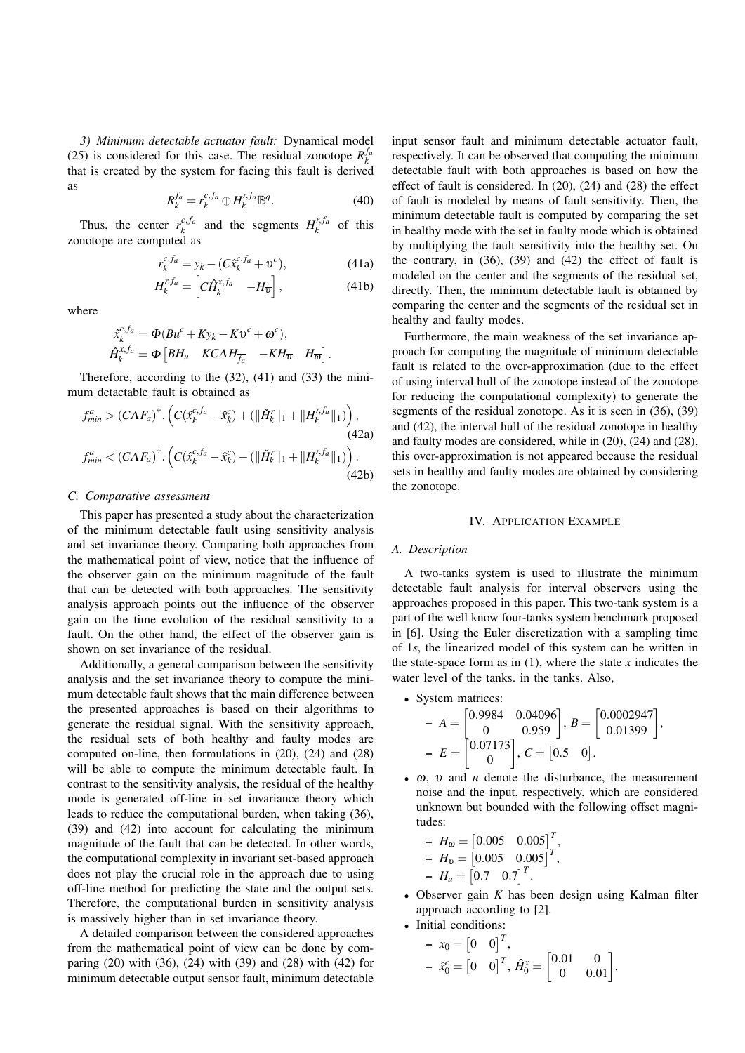*3) Minimum detectable actuator fault:* Dynamical model (25) is considered for this case. The residual zonotope  $R_k^{f_a}$ that is created by the system for facing this fault is derived as

$$
R_k^{f_a} = r_k^{c, f_a} \oplus H_k^{r, f_a} \mathbb{B}^q.
$$
 (40)

Thus, the center  $r_k^{c, fa}$  and the segments  $H_k^{r, fa}$  of this zonotope are computed as

$$
r_k^{c, fa} = y_k - (C\hat{x}_k^{c, fa} + \mathbf{v}^c), \tag{41a}
$$

$$
H_k^{r,f_a} = \left[ C \hat{H}_k^{x,f_a} \quad -H_{\overline{v}} \right],\tag{41b}
$$

where

$$
\begin{aligned} \hat{x}_{k}^{c,f_a} &= \Phi(Bu^c + Ky_k - Kv^c + \omega^c), \\ \hat{H}_{k}^{x,f_a} &= \Phi\left[ BH_{\overline{u}} \quad KCAH_{\overline{f_a}} \quad -KH_{\overline{v}} \quad H_{\overline{\omega}} \right]. \end{aligned}
$$

Therefore, according to the (32), (41) and (33) the minimum detactable fault is obtained as

$$
f_{min}^{a} > (C\Lambda F_{a})^{\dagger} \cdot \left( C(\hat{x}_{k}^{c,f_{a}} - \hat{x}_{k}^{c}) + (\|\check{H}_{k}^{r}\|_{1} + \|H_{k}^{r,f_{a}}\|_{1}) \right),
$$
\n(42a)  
\n
$$
f_{min}^{a} < (C\Lambda F_{a})^{\dagger} \cdot \left( C(\hat{x}_{k}^{c,f_{a}} - \hat{x}_{k}^{c}) - (\|\check{H}_{k}^{r}\|_{1} + \|H_{k}^{r,f_{a}}\|_{1}) \right).
$$
\n(42b)

#### *C. Comparative assessment*

This paper has presented a study about the characterization of the minimum detectable fault using sensitivity analysis and set invariance theory. Comparing both approaches from the mathematical point of view, notice that the influence of the observer gain on the minimum magnitude of the fault that can be detected with both approaches. The sensitivity analysis approach points out the influence of the observer gain on the time evolution of the residual sensitivity to a fault. On the other hand, the effect of the observer gain is shown on set invariance of the residual.

Additionally, a general comparison between the sensitivity analysis and the set invariance theory to compute the minimum detectable fault shows that the main difference between the presented approaches is based on their algorithms to generate the residual signal. With the sensitivity approach, the residual sets of both healthy and faulty modes are computed on-line, then formulations in (20), (24) and (28) will be able to compute the minimum detectable fault. In contrast to the sensitivity analysis, the residual of the healthy mode is generated off-line in set invariance theory which leads to reduce the computational burden, when taking (36), (39) and (42) into account for calculating the minimum magnitude of the fault that can be detected. In other words, the computational complexity in invariant set-based approach does not play the crucial role in the approach due to using off-line method for predicting the state and the output sets. Therefore, the computational burden in sensitivity analysis is massively higher than in set invariance theory.

A detailed comparison between the considered approaches from the mathematical point of view can be done by comparing (20) with (36), (24) with (39) and (28) with (42) for minimum detectable output sensor fault, minimum detectable input sensor fault and minimum detectable actuator fault, respectively. It can be observed that computing the minimum detectable fault with both approaches is based on how the effect of fault is considered. In (20), (24) and (28) the effect of fault is modeled by means of fault sensitivity. Then, the minimum detectable fault is computed by comparing the set in healthy mode with the set in faulty mode which is obtained by multiplying the fault sensitivity into the healthy set. On the contrary, in (36), (39) and (42) the effect of fault is modeled on the center and the segments of the residual set, directly. Then, the minimum detectable fault is obtained by comparing the center and the segments of the residual set in healthy and faulty modes.

Furthermore, the main weakness of the set invariance approach for computing the magnitude of minimum detectable fault is related to the over-approximation (due to the effect of using interval hull of the zonotope instead of the zonotope for reducing the computational complexity) to generate the segments of the residual zonotope. As it is seen in (36), (39) and (42), the interval hull of the residual zonotope in healthy and faulty modes are considered, while in (20), (24) and (28), this over-approximation is not appeared because the residual sets in healthy and faulty modes are obtained by considering the zonotope.

#### IV. APPLICATION EXAMPLE

# *A. Description*

A two-tanks system is used to illustrate the minimum detectable fault analysis for interval observers using the approaches proposed in this paper. This two-tank system is a part of the well know four-tanks system benchmark proposed in [6]. Using the Euler discretization with a sampling time of 1*s*, the linearized model of this system can be written in the state-space form as in  $(1)$ , where the state *x* indicates the water level of the tanks. in the tanks. Also,

- System matrices  $A = \begin{bmatrix} 0.9984 & 0.04096 \\ 0 & 0.959 \end{bmatrix}, B = \begin{bmatrix} 0.0002947 \\ 0.01399 \end{bmatrix},$  $E = \begin{bmatrix} 0.07173 \\ 0.07173 \end{bmatrix}$  $\boldsymbol{0}$  $C = \begin{bmatrix} 0.5 & 0 \end{bmatrix}$ .
- ω, υ and *u* denote the disturbance, the measurement noise and the input, respectively, which are considered unknown but bounded with the following offset magnitudes:

$$
H_{\omega} = \begin{bmatrix} 0.005 & 0.005 \end{bmatrix}^{T},
$$
  
\n
$$
H_{\omega} = \begin{bmatrix} 0.005 & 0.005 \end{bmatrix}^{T},
$$
  
\n
$$
H_{\mu} = \begin{bmatrix} 0.7 & 0.7 \end{bmatrix}^{T}.
$$

- Observer gain *K* has been design using Kalman filter approach according to [2].
- Initial conditions:

$$
\begin{aligned}\n- x_0 &= \begin{bmatrix} 0 & 0 \end{bmatrix}^T, \\
- \hat{x}_0^c &= \begin{bmatrix} 0 & 0 \end{bmatrix}^T, \hat{H}_0^x = \begin{bmatrix} 0.01 & 0 \\ 0 & 0.01 \end{bmatrix}.\n\end{aligned}
$$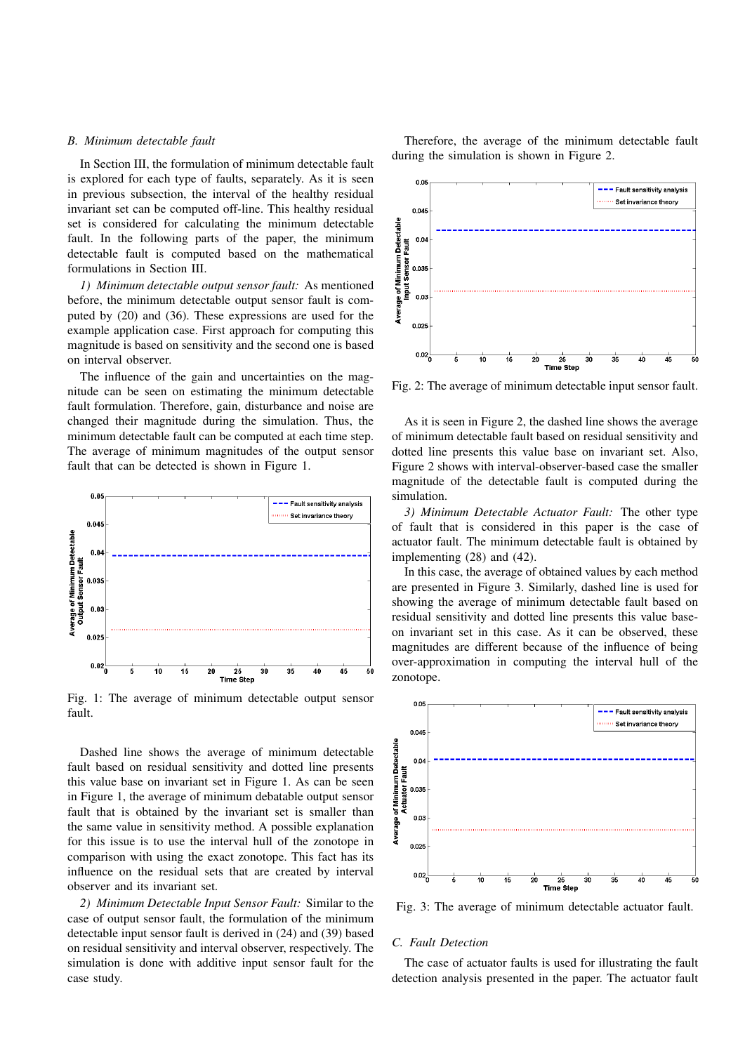## *B. Minimum detectable fault*

In Section III, the formulation of minimum detectable fault is explored for each type of faults, separately. As it is seen in previous subsection, the interval of the healthy residual invariant set can be computed off-line. This healthy residual set is considered for calculating the minimum detectable fault. In the following parts of the paper, the minimum detectable fault is computed based on the mathematical formulations in Section III.

*1) Minimum detectable output sensor fault:* As mentioned before, the minimum detectable output sensor fault is computed by (20) and (36). These expressions are used for the example application case. First approach for computing this magnitude is based on sensitivity and the second one is based on interval observer.

The influence of the gain and uncertainties on the magnitude can be seen on estimating the minimum detectable fault formulation. Therefore, gain, disturbance and noise are changed their magnitude during the simulation. Thus, the minimum detectable fault can be computed at each time step. The average of minimum magnitudes of the output sensor fault that can be detected is shown in Figure 1.



Fig. 1: The average of minimum detectable output sensor fault.

Dashed line shows the average of minimum detectable fault based on residual sensitivity and dotted line presents this value base on invariant set in Figure 1. As can be seen in Figure 1, the average of minimum debatable output sensor fault that is obtained by the invariant set is smaller than the same value in sensitivity method. A possible explanation for this issue is to use the interval hull of the zonotope in comparison with using the exact zonotope. This fact has its influence on the residual sets that are created by interval observer and its invariant set.

*2) Minimum Detectable Input Sensor Fault:* Similar to the case of output sensor fault, the formulation of the minimum detectable input sensor fault is derived in (24) and (39) based on residual sensitivity and interval observer, respectively. The simulation is done with additive input sensor fault for the case study.

Therefore, the average of the minimum detectable fault during the simulation is shown in Figure 2.



Fig. 2: The average of minimum detectable input sensor fault.

As it is seen in Figure 2, the dashed line shows the average of minimum detectable fault based on residual sensitivity and dotted line presents this value base on invariant set. Also, Figure 2 shows with interval-observer-based case the smaller magnitude of the detectable fault is computed during the simulation.

*3) Minimum Detectable Actuator Fault:* The other type of fault that is considered in this paper is the case of actuator fault. The minimum detectable fault is obtained by implementing (28) and (42).

In this case, the average of obtained values by each method are presented in Figure 3. Similarly, dashed line is used for showing the average of minimum detectable fault based on residual sensitivity and dotted line presents this value baseon invariant set in this case. As it can be observed, these magnitudes are different because of the influence of being over-approximation in computing the interval hull of the zonotope.



Fig. 3: The average of minimum detectable actuator fault.

#### *C. Fault Detection*

The case of actuator faults is used for illustrating the fault detection analysis presented in the paper. The actuator fault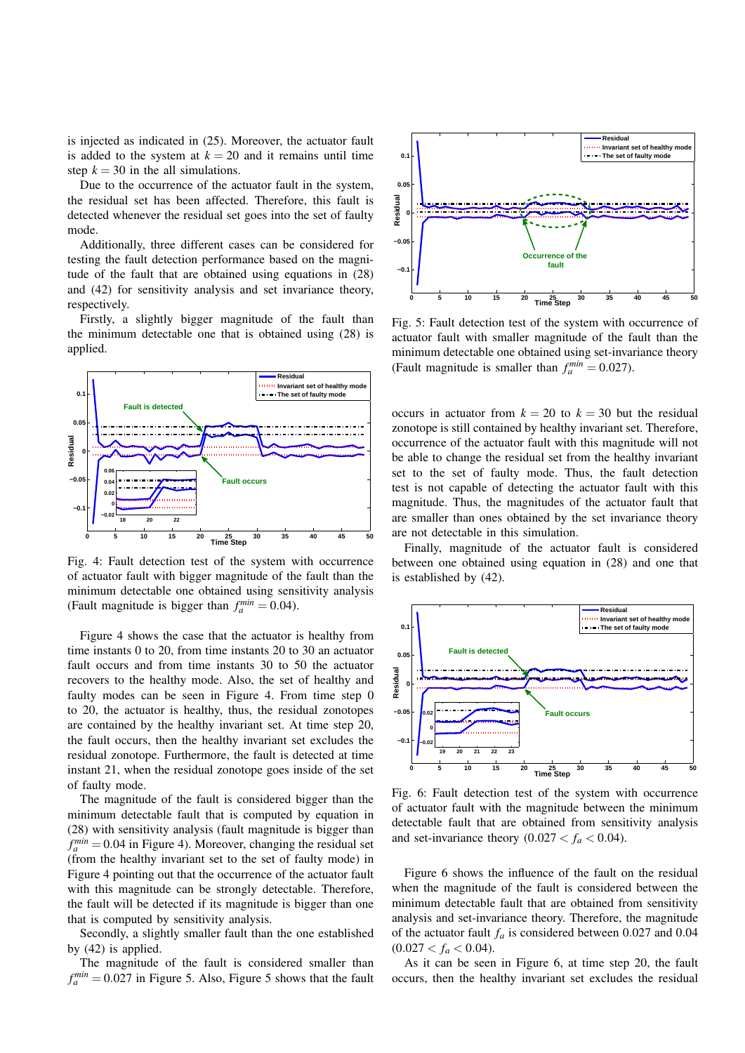is injected as indicated in (25). Moreover, the actuator fault is added to the system at  $k = 20$  and it remains until time step  $k = 30$  in the all simulations.

Due to the occurrence of the actuator fault in the system, the residual set has been affected. Therefore, this fault is detected whenever the residual set goes into the set of faulty mode.

Additionally, three different cases can be considered for testing the fault detection performance based on the magnitude of the fault that are obtained using equations in (28) and (42) for sensitivity analysis and set invariance theory, respectively.

Firstly, a slightly bigger magnitude of the fault than the minimum detectable one that is obtained using (28) is applied.



Fig. 4: Fault detection test of the system with occurrence of actuator fault with bigger magnitude of the fault than the minimum detectable one obtained using sensitivity analysis (Fault magnitude is bigger than  $f_a^{min} = 0.04$ ).

Figure 4 shows the case that the actuator is healthy from time instants 0 to 20, from time instants 20 to 30 an actuator fault occurs and from time instants 30 to 50 the actuator recovers to the healthy mode. Also, the set of healthy and faulty modes can be seen in Figure 4. From time step 0 to 20, the actuator is healthy, thus, the residual zonotopes are contained by the healthy invariant set. At time step 20, the fault occurs, then the healthy invariant set excludes the residual zonotope. Furthermore, the fault is detected at time instant 21, when the residual zonotope goes inside of the set of faulty mode.

The magnitude of the fault is considered bigger than the minimum detectable fault that is computed by equation in (28) with sensitivity analysis (fault magnitude is bigger than  $f_a^{min} = 0.04$  in Figure 4). Moreover, changing the residual set (from the healthy invariant set to the set of faulty mode) in Figure 4 pointing out that the occurrence of the actuator fault with this magnitude can be strongly detectable. Therefore, the fault will be detected if its magnitude is bigger than one that is computed by sensitivity analysis.

Secondly, a slightly smaller fault than the one established by (42) is applied.

The magnitude of the fault is considered smaller than  $f_a^{min} = 0.027$  in Figure 5. Also, Figure 5 shows that the fault



Fig. 5: Fault detection test of the system with occurrence of actuator fault with smaller magnitude of the fault than the minimum detectable one obtained using set-invariance theory (Fault magnitude is smaller than  $f_a^{min} = 0.027$ ).

occurs in actuator from  $k = 20$  to  $k = 30$  but the residual zonotope is still contained by healthy invariant set. Therefore, occurrence of the actuator fault with this magnitude will not be able to change the residual set from the healthy invariant set to the set of faulty mode. Thus, the fault detection test is not capable of detecting the actuator fault with this magnitude. Thus, the magnitudes of the actuator fault that are smaller than ones obtained by the set invariance theory are not detectable in this simulation.

Finally, magnitude of the actuator fault is considered between one obtained using equation in (28) and one that is established by (42).



Fig. 6: Fault detection test of the system with occurrence of actuator fault with the magnitude between the minimum detectable fault that are obtained from sensitivity analysis and set-invariance theory  $(0.027 < f_a < 0.04)$ .

Figure 6 shows the influence of the fault on the residual when the magnitude of the fault is considered between the minimum detectable fault that are obtained from sensitivity analysis and set-invariance theory. Therefore, the magnitude of the actuator fault *f<sup>a</sup>* is considered between 0.027 and 0.04  $(0.027 < f_a < 0.04)$ .

As it can be seen in Figure 6, at time step 20, the fault occurs, then the healthy invariant set excludes the residual